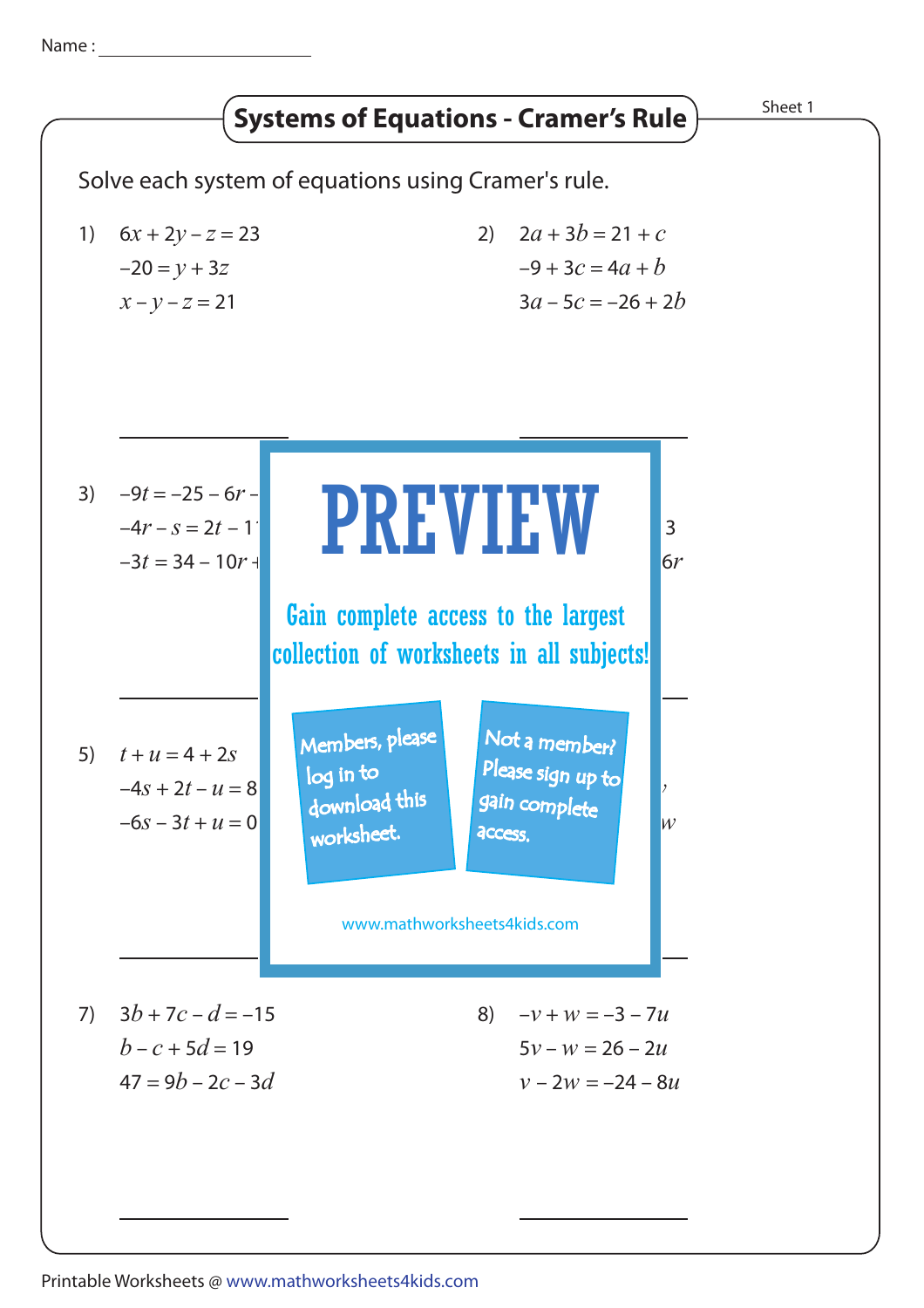Name :